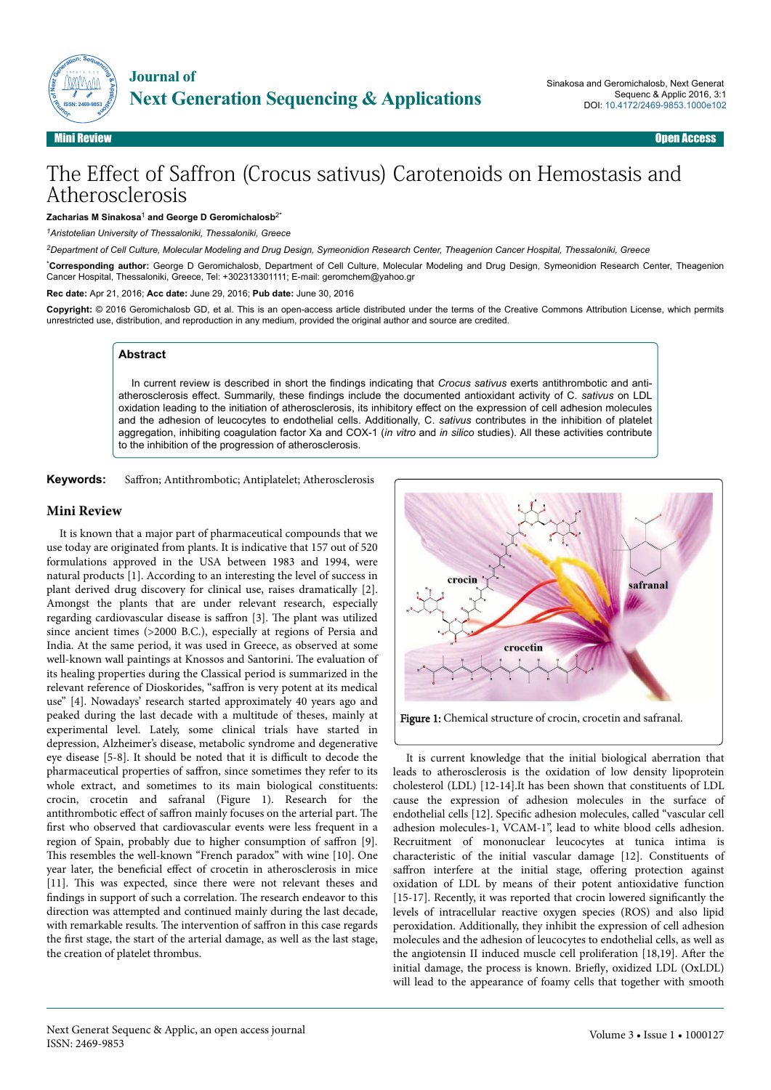



**ISSN: 2469-9853**

# The Effect of Saffron (Crocus sativus) Carotenoids on Hemostasis and Atherosclerosis

#### **Zacharias M Sinakosa**<sup>1</sup>  **and George D Geromichalosb**2\*

*<sup>1</sup>Aristotelian University of Thessaloniki, Thessaloniki, Greece*

*<sup>2</sup>Department of Cell Culture, Molecular Modeling and Drug Design, Symeonidion Research Center, Theagenion Cancer Hospital, Thessaloniki, Greece*

\***Corresponding author:** George D Geromichalosb, Department of Cell Culture, Molecular Modeling and Drug Design, Symeonidion Research Center, Theagenion Cancer Hospital, Thessaloniki, Greece, Tel: +302313301111; E-mail: geromchem@yahoo.gr

**Rec date:** Apr 21, 2016; **Acc date:** June 29, 2016; **Pub date:** June 30, 2016

**Copyright:** © 2016 Geromichalosb GD, et al. This is an open-access article distributed under the terms of the Creative Commons Attribution License, which permits unrestricted use, distribution, and reproduction in any medium, provided the original author and source are credited.

### **Abstract**

In current review is described in short the findings indicating that *Crocus sativus* exerts antithrombotic and antiatherosclerosis effect. Summarily, these findings include the documented antioxidant activity of C. *sativus* on LDL oxidation leading to the initiation of atherosclerosis, its inhibitory effect on the expression of cell adhesion molecules and the adhesion of leucocytes to endothelial cells. Additionally, C. *sativus* contributes in the inhibition of platelet aggregation, inhibiting coagulation factor Xa and COX-1 (*in vitro* and *in silico* studies). All these activities contribute to the inhibition of the progression of atherosclerosis.

**Keywords:** Saffron; Antithrombotic; Antiplatelet; Atherosclerosis

#### **Mini Review**

It is known that a major part of pharmaceutical compounds that we use today are originated from plants. It is indicative that 157 out of 520 formulations approved in the USA between 1983 and 1994, were natural products [1]. According to an interesting the level of success in plant derived drug discovery for clinical use, raises dramatically [2]. Amongst the plants that are under relevant research, especially regarding cardiovascular disease is saffron [3]. The plant was utilized since ancient times (>2000 B.C.), especially at regions of Persia and India. At the same period, it was used in Greece, as observed at some well-known wall paintings at Knossos and Santorini. Нe evaluation of its healing properties during the Classical period is summarized in the relevant reference of Dioskorides, "saffron is very potent at its medical use" [4]. Nowadays' research started approximately 40 years ago and peaked during the last decade with a multitude of theses, mainly at experimental level. Lately, some clinical trials have started in depression, Alzheimer's disease, metabolic syndrome and degenerative eye disease [5-8]. It should be noted that it is difficult to decode the pharmaceutical properties of saffron, since sometimes they refer to its whole extract, and sometimes to its main biological constituents: crocin, crocetin and safranal (Figure 1). Research for the antithrombotic effect of saffron mainly focuses on the arterial part. The first who observed that cardiovascular events were less frequent in a region of Spain, probably due to higher consumption of saffron [9]. This resembles the well-known "French paradox" with wine [10]. One year later, the beneficial effect of crocetin in atherosclerosis in mice [11]. This was expected, since there were not relevant theses and findings in support of such a correlation. Нe research endeavor to this direction was attempted and continued mainly during the last decade, with remarkable results. The intervention of saffron in this case regards the first stage, the start of the arterial damage, as well as the last stage, the creation of platelet thrombus.



It is current knowledge that the initial biological aberration that leads to atherosclerosis is the oxidation of low density lipoprotein cholesterol (LDL) [12-14].It has been shown that constituents of LDL cause the expression of adhesion molecules in the surface of endothelial cells [12]. 6pecific adhesion molecules, called "vascular cell adhesion molecules-1, VCAM-1", lead to white blood cells adhesion. Recruitment of mononuclear leucocytes at tunica intima is characteristic of the initial vascular damage [12]. Constituents of saffron interfere at the initial stage, offering protection against oxidation of LDL by means of their potent antioxidative function [15-17]. Recently, it was reported that crocin lowered significantly the levels of intracellular reactive oxygen species (ROS) and also lipid peroxidation. Additionally, they inhibit the expression of cell adhesion molecules and the adhesion of leucocytes to endothelial cells, as well as the angiotensin II induced muscle cell proliferation [18,19]. After the initial damage, the process is known. Briefly, oxidized LDL (OxLDL) will lead to the appearance of foamy cells that together with smooth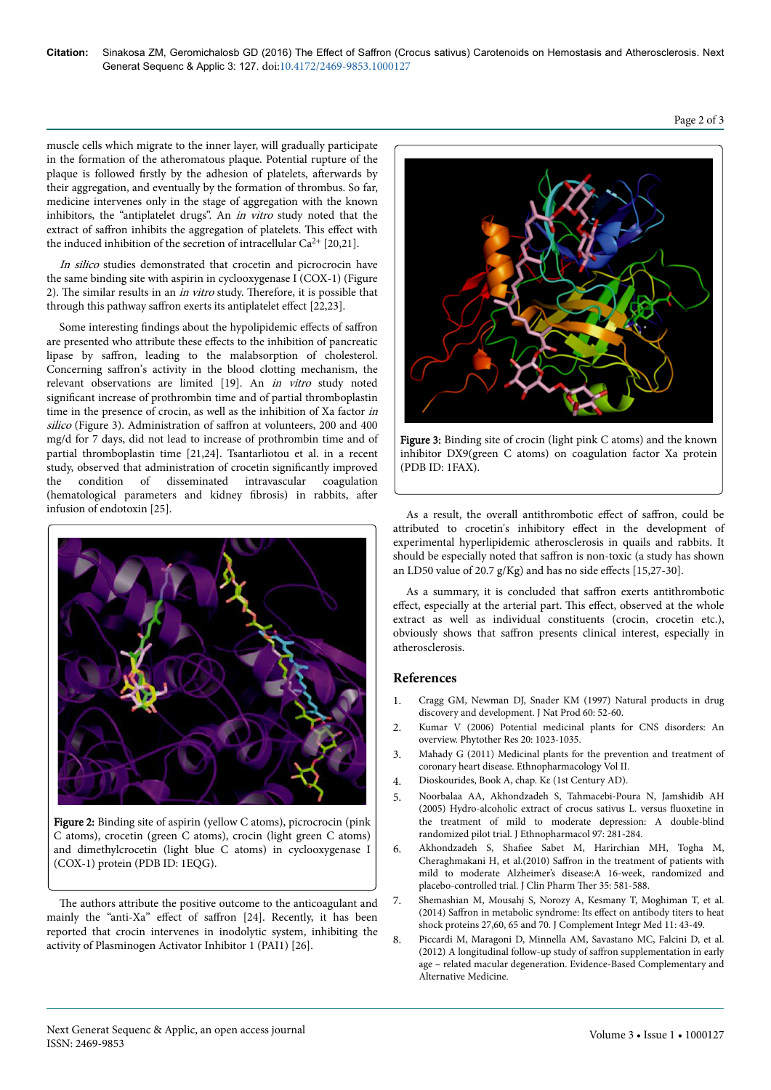muscle cells which migrate to the inner layer, will gradually participate in the formation of the atheromatous plaque. Potential rupture of the plaque is followed firstly by the adhesion of platelets, afterwards by their aggregation, and eventually by the formation of thrombus. So far, medicine intervenes only in the stage of aggregation with the known inhibitors, the "antiplatelet drugs". An in vitro study noted that the extract of saffron inhibits the aggregation of platelets. This effect with the induced inhibition of the secretion of intracellular  $Ca^{2+}$  [20,21].

In silico studies demonstrated that crocetin and picrocrocin have the same binding site with aspirin in cyclooxygenase I (COX-1) (Figure 2). The similar results in an *in vitro* study. Therefore, it is possible that through this pathway saffron exerts its antiplatelet effect  $[22,23]$ .

Some interesting findings about the hypolipidemic effects of saffron are presented who attribute these effects to the inhibition of pancreatic lipase by saffron, leading to the malabsorption of cholesterol. Concerning saffron's activity in the blood clotting mechanism, the relevant observations are limited [19]. An in vitro study noted significant increase of prothrombin time and of partial thromboplastin time in the presence of crocin, as well as the inhibition of Xa factor in silico (Figure 3). Administration of saffron at volunteers, 200 and 400 mg/d for 7 days, did not lead to increase of prothrombin time and of partial thromboplastin time [21,24]. Tsantarliotou et al. in a recent study, observed that administration of crocetin significantly improved the condition of disseminated intravascular coagulation (hematological parameters and kidney fibrosis) in rabbits, after infusion of endotoxin [25].



Figure 2: Binding site of aspirin (yellow C atoms), picrocrocin (pink C atoms), crocetin (green C atoms), crocin (light green C atoms) and dimethylcrocetin (light blue C atoms) in cyclooxygenase I (COX-1) protein (PDB ID: 1EQG).

The authors attribute the positive outcome to the anticoagulant and mainly the "anti-Xa" effect of saffron [24]. Recently, it has been reported that crocin intervenes in inodolytic system, inhibiting the activity of Plasminogen Activator Inhibitor 1 (PAI1) [26].



Figure 3: Binding site of crocin (light pink C atoms) and the known inhibitor DX9(green C atoms) on coagulation factor Xa protein (PDB ID: 1FAX).

As a result, the overall antithrombotic effect of saffron, could be attributed to crocetin's inhibitory effect in the development of experimental hyperlipidemic atherosclerosis in quails and rabbits. It should be especially noted that saffron is non-toxic (a study has shown an LD50 value of 20.7 g/Kg) and has no side effects  $[15,27-30]$ .

As a summary, it is concluded that saffron exerts antithrombotic effect, especially at the arterial part. This effect, observed at the whole extract as well as individual constituents (crocin, crocetin etc.), obviously shows that saffron presents clinical interest, especially in atherosclerosis.

## **References**

- 1. [Cragg GM, Newman DJ, Snader KM \(1997\) Natural products in drug](http://www.ncbi.nlm.nih.gov/pubmed/9014353) [discovery and development. J Nat Prod 60: 52-60.](http://www.ncbi.nlm.nih.gov/pubmed/9014353)
- 2. [Kumar V \(2006\) Potential medicinal plants for CNS disorders: An](http://www.ncbi.nlm.nih.gov/pubmed/16909441) [overview. Phytother Res 20: 1023-1035.](http://www.ncbi.nlm.nih.gov/pubmed/16909441)
- 3. [Mahady G \(2011\) Medicinal plants for the prevention and treatment of](http://www.eolss.net/sample-chapters/c03/e6-79-16-00.pdf) [coronary heart disease. Ethnopharmacology Vol II.](http://www.eolss.net/sample-chapters/c03/e6-79-16-00.pdf)
- 4. Dioskourides, Book A, chap. Κε (1st Century AD).
- 5. [Noorbalaa AA, Akhondzadeh S, Tahmacebi-Poura N, Jamshidib AH](http://www.ncbi.nlm.nih.gov/pubmed/15707766) [\(2005\) Hydro-alcoholic extract of crocus sativus L. versus](http://www.ncbi.nlm.nih.gov/pubmed/15707766) fluoxetine in [the treatment of mild to moderate depression: A double-blind](http://www.ncbi.nlm.nih.gov/pubmed/15707766) [randomized pilot trial. J Ethnopharmacol 97: 281-284.](http://www.ncbi.nlm.nih.gov/pubmed/15707766)
- 6. Akhondzadeh S, 6hafiee [Sabet M, Harirchian MH, Togha M,](http://www.ncbi.nlm.nih.gov/pubmed/20831681) Cheraghmakani H, et al.(2010) Saffron [in the treatment of patients with](http://www.ncbi.nlm.nih.gov/pubmed/20831681) [mild to moderate Alzheimer's disease:A 16-week, randomized and](http://www.ncbi.nlm.nih.gov/pubmed/20831681) [placebo-controlled trial. J Clin Pharm](http://www.ncbi.nlm.nih.gov/pubmed/20831681) Ther 35: 581-588.
- 7. [Shemashian M, Mousahj S, Norozy A, Kesmany T, Moghiman T, et al.](http://www.ncbi.nlm.nih.gov/pubmed/24501162) (2014) Saffron [in metabolic syndrome: Its](http://www.ncbi.nlm.nih.gov/pubmed/24501162) effect on antibody titers to heat [shock proteins 27,60, 65 and 70. J Complement Integr Med 11: 43-49.](http://www.ncbi.nlm.nih.gov/pubmed/24501162)
- 8. [Piccardi M, Maragoni D, Minnella AM, Savastano MC, Falcini D, et al.](http://www.hindawi.com/journals/ecam/2012/429124/) [\(2012\) A longitudinal follow-up study of](http://www.hindawi.com/journals/ecam/2012/429124/) saffron supplementation in early [age – related macular degeneration. Evidence-Based Complementary and](http://www.hindawi.com/journals/ecam/2012/429124/) [Alternative Medicine.](http://www.hindawi.com/journals/ecam/2012/429124/)